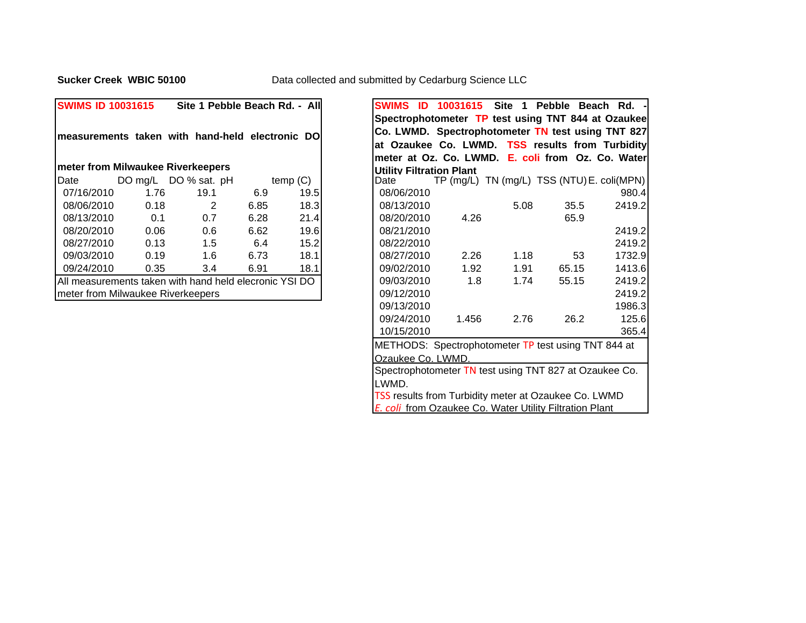**Sucker Creek WBIC 50100**

| <b>SWIMS ID 10031615</b>          |      | Site 1 Pebble Beach Rd. - All                          |      |         | SWIMS ID                               | 10031615                     | <b>Site</b><br>$\blacksquare$ | Pebble E |
|-----------------------------------|------|--------------------------------------------------------|------|---------|----------------------------------------|------------------------------|-------------------------------|----------|
|                                   |      |                                                        |      |         | Spectrophotometer TP test using TNT 84 |                              |                               |          |
|                                   |      | measurements taken with hand-held electronic DO        |      |         | Co. LWMD. Spectrophotometer TN test us |                              |                               |          |
|                                   |      |                                                        |      |         | at Ozaukee Co. LWMD. TSS results fro   |                              |                               |          |
|                                   |      |                                                        |      |         | meter at Oz. Co. LWMD. E. coli from O  |                              |                               |          |
| meter from Milwaukee Riverkeepers |      |                                                        |      |         | Utility Filtration Plant               |                              |                               |          |
| Date                              |      | DO mg/L DO % sat. pH                                   |      | temp(G) | Date                                   | TP (mg/L) TN (mg/L) TSS (NTU |                               |          |
| 07/16/2010                        | 1.76 | 19.1                                                   | 6.9  | 19.5    | 08/06/2010                             |                              |                               |          |
| 08/06/2010                        | 0.18 | 2                                                      | 6.85 | 18.3    | 08/13/2010                             |                              | 5.08                          | 35.5     |
| 08/13/2010                        | 0.1  | 0.7                                                    | 6.28 | 21.4    | 08/20/2010                             | 4.26                         |                               | 65.9     |
| 08/20/2010                        | 0.06 | 0.6                                                    | 6.62 | 19.6    | 08/21/2010                             |                              |                               |          |
| 08/27/2010                        | 0.13 | 1.5                                                    | 6.4  | 15.2    | 08/22/2010                             |                              |                               |          |
| 09/03/2010                        | 0.19 | 1.6                                                    | 6.73 | 18.1    | 08/27/2010                             | 2.26                         | 1.18                          | 53       |
| 09/24/2010                        | 0.35 | 3.4                                                    | 6.91 | 18.1    | 09/02/2010                             | 1.92                         | 1.91                          | 65.15    |
|                                   |      | All measurements taken with hand held elecronic YSI DO |      |         | 09/03/2010                             | 1.8                          | 1.74                          | 55.15    |
| meter from Milwaukee Riverkeepers |      |                                                        |      |         | 09/12/2010                             |                              |                               |          |
|                                   |      |                                                        |      |         | 09/13/2010                             |                              |                               |          |

| <b>SWIMS ID 10031615</b>          |      | Site 1 Pebble Beach Rd. - All                          |      |         |                                 |       |      | SWIMS ID 10031615 Site 1 Pebble Beach Rd. -             |        |
|-----------------------------------|------|--------------------------------------------------------|------|---------|---------------------------------|-------|------|---------------------------------------------------------|--------|
|                                   |      |                                                        |      |         |                                 |       |      | Spectrophotometer TP test using TNT 844 at Ozaukee      |        |
|                                   |      | measurements taken with hand-held electronic DO        |      |         |                                 |       |      | Co. LWMD. Spectrophotometer TN test using TNT 827       |        |
|                                   |      |                                                        |      |         |                                 |       |      | at Ozaukee Co. LWMD. TSS results from Turbidity         |        |
|                                   |      |                                                        |      |         |                                 |       |      | meter at Oz. Co. LWMD. E. coli from Oz. Co. Water       |        |
|                                   |      | meter from Milwaukee Riverkeepers                      |      |         | <b>Utility Filtration Plant</b> |       |      |                                                         |        |
| Date                              |      | DO mg/L DO % sat. pH                                   |      | temp(G) | Date                            |       |      | TP (mg/L) TN (mg/L) TSS (NTU) E. coli(MPN)              |        |
| 07/16/2010                        | 1.76 | 19.1                                                   | 6.9  | 19.5    | 08/06/2010                      |       |      |                                                         | 980.4  |
| 08/06/2010                        | 0.18 | 2                                                      | 6.85 | 18.3    | 08/13/2010                      |       | 5.08 | 35.5                                                    | 2419.2 |
| 08/13/2010                        | 0.1  | 0.7                                                    | 6.28 | 21.4    | 08/20/2010                      | 4.26  |      | 65.9                                                    |        |
| 08/20/2010                        | 0.06 | 0.6                                                    | 6.62 | 19.6    | 08/21/2010                      |       |      |                                                         | 2419.2 |
| 08/27/2010                        | 0.13 | 1.5                                                    | 6.4  | 15.2    | 08/22/2010                      |       |      |                                                         | 2419.2 |
| 09/03/2010                        | 0.19 | 1.6                                                    | 6.73 | 18.1    | 08/27/2010                      | 2.26  | 1.18 | 53                                                      | 1732.9 |
| 09/24/2010                        | 0.35 | 3.4                                                    | 6.91 | 18.1    | 09/02/2010                      | 1.92  | 1.91 | 65.15                                                   | 1413.6 |
|                                   |      | All measurements taken with hand held elecronic YSI DO |      |         | 09/03/2010                      | 1.8   | 1.74 | 55.15                                                   | 2419.2 |
| meter from Milwaukee Riverkeepers |      |                                                        |      |         | 09/12/2010                      |       |      |                                                         | 2419.2 |
|                                   |      |                                                        |      |         | 09/13/2010                      |       |      |                                                         | 1986.3 |
|                                   |      |                                                        |      |         | 09/24/2010                      | 1.456 | 2.76 | 26.2                                                    | 125.6  |
|                                   |      |                                                        |      |         | 10/15/2010                      |       |      |                                                         | 365.4  |
|                                   |      |                                                        |      |         |                                 |       |      | METHODS: Spectrophotometer TP test using TNT 844 at     |        |
|                                   |      |                                                        |      |         | Ozaukee Co. LWMD.               |       |      |                                                         |        |
|                                   |      |                                                        |      |         |                                 |       |      | Spectrophotometer TN test using TNT 827 at Ozaukee Co.  |        |
|                                   |      |                                                        |      |         | LWMD.                           |       |      |                                                         |        |
|                                   |      |                                                        |      |         |                                 |       |      | TSS results from Turbidity meter at Ozaukee Co. LWMD    |        |
|                                   |      |                                                        |      |         |                                 |       |      | E. coli from Ozaukee Co. Water Utility Filtration Plant |        |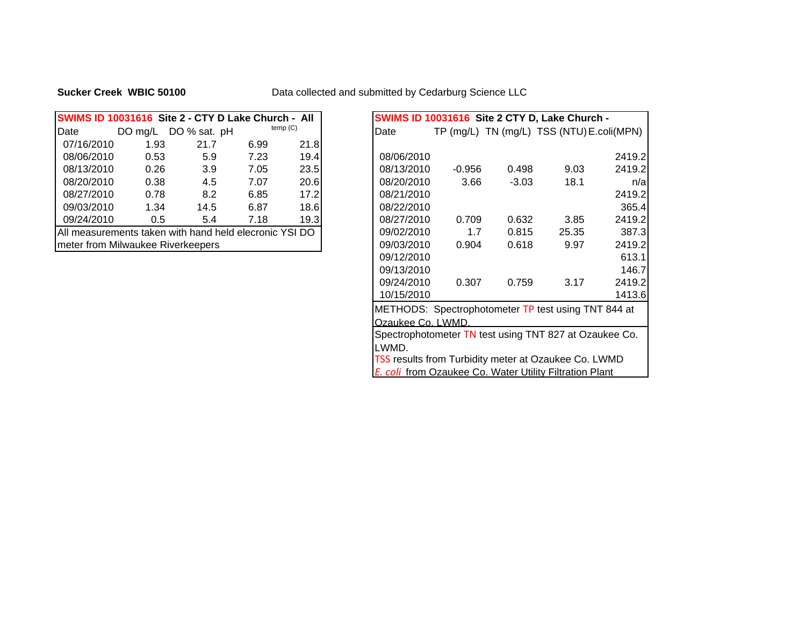## **Sucker Creek WBIC 50100**

## Data collected and submitted by Cedarburg Science LLC

| SWIMS ID 10031616 Site 2 - CTY D Lake Church - All     |           |              |      |         |            |             |         | SWIMS ID 10031616 Site 2 CTY D, Lake Church - |
|--------------------------------------------------------|-----------|--------------|------|---------|------------|-------------|---------|-----------------------------------------------|
| Date                                                   | DO $mg/L$ | DO % sat. pH |      | temp(G) | Date       | $TP$ (mg/L) |         | TN (mg/L) TSS (NTU) E.coli                    |
| 07/16/2010                                             | 1.93      | 21.7         | 6.99 | 21.8    |            |             |         |                                               |
| 08/06/2010                                             | 0.53      | 5.9          | 7.23 | 19.4    | 08/06/2010 |             |         |                                               |
| 08/13/2010                                             | 0.26      | 3.9          | 7.05 | 23.5    | 08/13/2010 | $-0.956$    | 0.498   | 9.03                                          |
| 08/20/2010                                             | 0.38      | 4.5          | 7.07 | 20.6    | 08/20/2010 | 3.66        | $-3.03$ | 18.1                                          |
| 08/27/2010                                             | 0.78      | 8.2          | 6.85 | 17.2    | 08/21/2010 |             |         |                                               |
| 09/03/2010                                             | 1.34      | 14.5         | 6.87 | 18.6    | 08/22/2010 |             |         |                                               |
| 09/24/2010                                             | 0.5       | 5.4          | 7.18 | 19.3    | 08/27/2010 | 0.709       | 0.632   | 3.85                                          |
| All measurements taken with hand held elecronic YSI DO |           |              |      |         | 09/02/2010 | 1.7         | 0.815   | 25.35                                         |
| meter from Milwaukee Riverkeepers                      |           |              |      |         | 09/03/2010 | 0.904       | 0.618   | 9.97                                          |

| SWIMS ID 10031616 Site 2 - CTY D Lake Church - All     |                   |          |         | SWIMS ID 10031616 Site 2 CTY D, Lake Church -               |        |
|--------------------------------------------------------|-------------------|----------|---------|-------------------------------------------------------------|--------|
| temp(G)<br>DO mg/L DO % sat. pH<br>Date<br>Date        |                   |          |         | TP (mg/L) TN (mg/L) TSS (NTU) E.coli(MPN)                   |        |
| 1.93<br>21.8<br>07/16/2010<br>21.7<br>6.99             |                   |          |         |                                                             |        |
| 7.23<br>19.4<br>08/06/2010<br>0.53<br>5.9              | 08/06/2010        |          |         |                                                             | 2419.2 |
| 08/13/2010<br>0.26<br>3.9<br>23.5<br>7.05              | 08/13/2010        | $-0.956$ | 0.498   | 9.03                                                        | 2419.2 |
| 0.38<br>4.5<br>20.6<br>08/20/2010<br>7.07              | 08/20/2010        | 3.66     | $-3.03$ | 18.1                                                        | n/a    |
| 8.2<br>17.2<br>08/27/2010<br>0.78<br>6.85              | 08/21/2010        |          |         |                                                             | 2419.2 |
| 18.6<br>09/03/2010<br>1.34<br>14.5<br>6.87             | 08/22/2010        |          |         |                                                             | 365.4  |
| 19.3<br>09/24/2010<br>0.5<br>5.4<br>7.18               | 08/27/2010        | 0.709    | 0.632   | 3.85                                                        | 2419.2 |
| All measurements taken with hand held elecronic YSI DO | 09/02/2010        | 1.7      | 0.815   | 25.35                                                       | 387.3  |
| meter from Milwaukee Riverkeepers                      | 09/03/2010        | 0.904    | 0.618   | 9.97                                                        | 2419.2 |
|                                                        | 09/12/2010        |          |         |                                                             | 613.1  |
|                                                        | 09/13/2010        |          |         |                                                             | 146.7  |
|                                                        | 09/24/2010        | 0.307    | 0.759   | 3.17                                                        | 2419.2 |
|                                                        | 10/15/2010        |          |         |                                                             | 1413.6 |
|                                                        |                   |          |         | METHODS: Spectrophotometer TP test using TNT 844 at         |        |
|                                                        | Ozaukee Co. LWMD. |          |         |                                                             |        |
|                                                        |                   |          |         | Spectrophotometer TN test using TNT 827 at Ozaukee Co.      |        |
| LWMD.                                                  |                   |          |         |                                                             |        |
|                                                        |                   |          |         | <b>TSS results from Turbidity meter at Ozaukee Co. LWMD</b> |        |
|                                                        |                   |          |         | E. coli from Ozaukee Co. Water Utility Filtration Plant     |        |